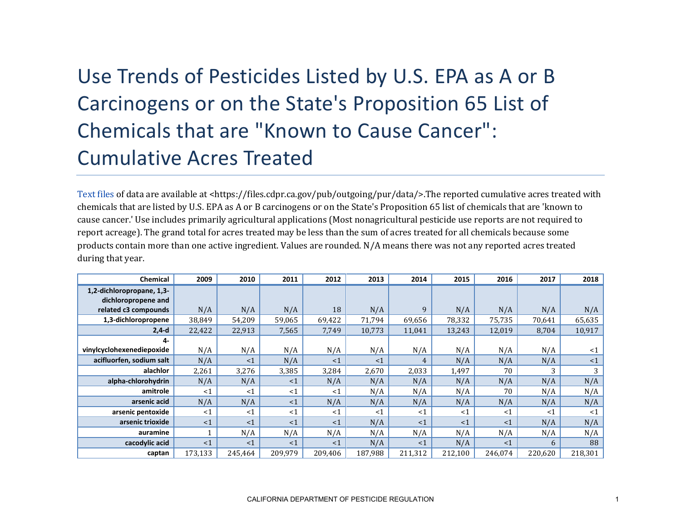## Use Trends of Pesticides Listed by U.S. EPA as A or B Carcinogens or on the State's Proposition 65 List of Chemicals that are "Known to Cause Cancer": Cumulative Acres Treated

[Text files](https://files.cdpr.ca.gov/pub/outgoing/pur/data/) of data are available at <https://files.cdpr.ca.gov/pub/outgoing/pur/data/>.The reported cumulative acres treated with chemicals that are listed by U.S. EPA as A or B carcinogens or on the State's Proposition 65 list of chemicals that are 'known to cause cancer.' Use includes primarily agricultural applications (Most nonagricultural pesticide use reports are not required to report acreage). The grand total for acres treated may be less than the sum of acres treated for all chemicals because some products contain more than one active ingredient. Values are rounded. N/A means there was not any reported acres treated during that year.

| <b>Chemical</b>                                  | 2009    | 2010     | 2011    | 2012    | 2013    | 2014    | 2015    | 2016     | 2017    | 2018    |
|--------------------------------------------------|---------|----------|---------|---------|---------|---------|---------|----------|---------|---------|
| 1,2-dichloropropane, 1,3-<br>dichloropropene and |         |          |         |         |         |         |         |          |         |         |
| related c3 compounds                             | N/A     | N/A      | N/A     | 18      | N/A     | 9       | N/A     | N/A      | N/A     | N/A     |
| 1,3-dichloropropene                              | 38,849  | 54,209   | 59,065  | 69,422  | 71,794  | 69,656  | 78,332  | 75,735   | 70,641  | 65,635  |
| $2,4-d$                                          | 22,422  | 22,913   | 7,565   | 7,749   | 10,773  | 11,041  | 13,243  | 12,019   | 8,704   | 10,917  |
| 4-                                               |         |          |         |         |         |         |         |          |         |         |
| vinylcyclohexenediepoxide                        | N/A     | N/A      | N/A     | N/A     | N/A     | N/A     | N/A     | N/A      | N/A     | $<$ 1   |
| acifluorfen, sodium salt                         | N/A     | <1       | N/A     | <1      | <1      | 4       | N/A     | N/A      | N/A     | <1      |
| alachlor                                         | 2,261   | 3,276    | 3,385   | 3,284   | 2,670   | 2,033   | 1,497   | 70       | 3       | 3       |
| alpha-chlorohydrin                               | N/A     | N/A      | <1      | N/A     | N/A     | N/A     | N/A     | N/A      | N/A     | N/A     |
| amitrole                                         | $<$ 1   | <1       | <1      | $<$ 1   | N/A     | N/A     | N/A     | 70       | N/A     | N/A     |
| arsenic acid                                     | N/A     | N/A      | <1      | N/A     | N/A     | N/A     | N/A     | N/A      | N/A     | N/A     |
| arsenic pentoxide                                | $<$ 1   | $\leq 1$ | <1      | <1      | $<$ 1   | <1      | <1      | <1       | $<$ 1   | <1      |
| arsenic trioxide                                 | <1      | <1       | <1      | <1      | N/A     | <1      | <1      | $\leq$ 1 | N/A     | N/A     |
| auramine                                         |         | N/A      | N/A     | N/A     | N/A     | N/A     | N/A     | N/A      | N/A     | N/A     |
| cacodylic acid                                   | <1      | $\leq$ 1 | <1      | <1      | N/A     | <1      | N/A     | <1       | 6       | 88      |
| captan                                           | 173,133 | 245,464  | 209,979 | 209,406 | 187,988 | 211,312 | 212,100 | 246,074  | 220,620 | 218,301 |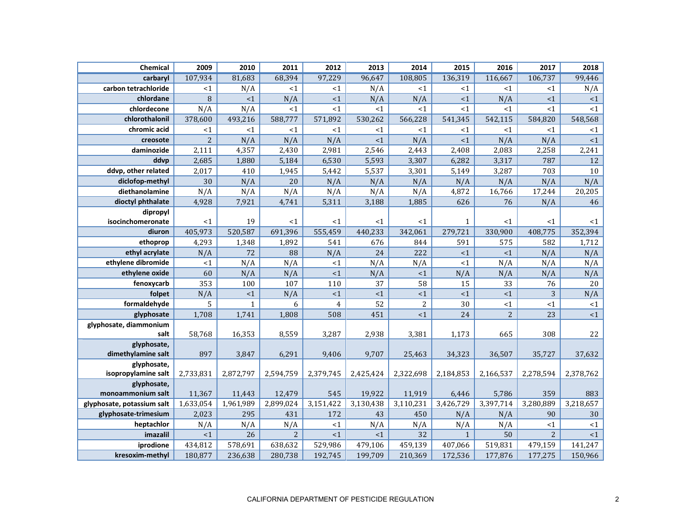| <b>Chemical</b>                  | 2009      | 2010         | 2011           | 2012           | 2013      | 2014           | 2015         | 2016           | 2017           | 2018      |
|----------------------------------|-----------|--------------|----------------|----------------|-----------|----------------|--------------|----------------|----------------|-----------|
| carbaryl                         | 107,934   | 81,683       | 68,394         | 97,229         | 96,647    | 108,805        | 136,319      | 116,667        | 106,737        | 99,446    |
| carbon tetrachloride             | <1        | N/A          | <1             | <1             | N/A       | <1             | <1           | <1             | <1             | N/A       |
| chlordane                        | 8         | <1           | N/A            | $<1$           | N/A       | N/A            | <1           | N/A            | <1             | ${<}1$    |
| chlordecone                      | N/A       | N/A          | <1             | <1             | <1        | <1             | <1           | <1             | $<$ 1          | <1        |
| chlorothalonil                   | 378,600   | 493,216      | 588,777        | 571,892        | 530,262   | 566,228        | 541,345      | 542,115        | 584,820        | 548,568   |
| chromic acid                     | $\leq 1$  | <1           | <1             | <1             | <1        | <1             | <1           | <1             | <1             | <1        |
| creosote                         | 2         | N/A          | N/A            | N/A            | <1        | N/A            | <1           | N/A            | N/A            | <1        |
| daminozide                       | 2,111     | 4,357        | 2,430          | 2,981          | 2,546     | 2,443          | 2,408        | 2,083          | 2,258          | 2,241     |
| ddvp                             | 2,685     | 1,880        | 5,184          | 6,530          | 5,593     | 3,307          | 6,282        | 3,317          | 787            | 12        |
| ddvp, other related              | 2,017     | 410          | 1,945          | 5,442          | 5,537     | 3,301          | 5,149        | 3,287          | 703            | 10        |
| diclofop-methyl                  | 30        | N/A          | 20             | N/A            | N/A       | N/A            | N/A          | N/A            | N/A            | N/A       |
| diethanolamine                   | N/A       | N/A          | N/A            | N/A            | N/A       | N/A            | 4,872        | 16,766         | 17,244         | 20,205    |
| dioctyl phthalate                | 4,928     | 7,921        | 4,741          | 5,311          | 3,188     | 1,885          | 626          | 76             | N/A            | 46        |
| dipropyl                         |           |              |                |                |           |                |              |                |                |           |
| isocinchomeronate                | <1        | 19           | $<$ 1          | <1             | <1        | <1             | $\mathbf{1}$ | <1             | <1             | $<$ 1     |
| diuron                           | 405,973   | 520,587      | 691,396        | 555,459        | 440,233   | 342,061        | 279,721      | 330,900        | 408,775        | 352,394   |
| ethoprop                         | 4,293     | 1,348        | 1,892          | 541            | 676       | 844            | 591          | 575            | 582            | 1,712     |
| ethyl acrylate                   | N/A       | 72           | 88             | N/A            | 24        | 222            | <1           | <1             | N/A            | N/A       |
| ethylene dibromide               | $<$ 1     | N/A          | N/A            | <1             | N/A       | N/A            | <1           | N/A            | N/A            | N/A       |
| ethylene oxide                   | 60        | N/A          | N/A            | <1             | N/A       | $\leq$ 1       | N/A          | N/A            | N/A            | N/A       |
| fenoxycarb                       | 353       | 100          | 107            | 110            | 37        | 58             | 15           | 33             | 76             | 20        |
| folpet                           | N/A       | ${<}1$       | N/A            | $\leq 1$       | ${<}1$    | ~1             | ${<}1$       | $<1\,$         | 3              | N/A       |
| formaldehyde                     | 5         | $\mathbf{1}$ | 6              | $\overline{4}$ | 52        | $\overline{2}$ | 30           | <1             | $\leq 1$       | ${<}1$    |
| glyphosate                       | 1,708     | 1,741        | 1,808          | 508            | 451       | <1             | 24           | $\overline{c}$ | 23             | ${<}1$    |
| glyphosate, diammonium           |           |              |                |                |           |                |              |                |                |           |
| salt                             | 58,768    | 16,353       | 8,559          | 3,287          | 2,938     | 3,381          | 1,173        | 665            | 308            | 22        |
| glyphosate,                      |           |              |                |                |           |                |              |                |                |           |
| dimethylamine salt               | 897       | 3,847        | 6,291          | 9,406          | 9,707     | 25,463         | 34,323       | 36,507         | 35,727         | 37,632    |
| glyphosate,                      |           |              |                |                |           |                |              |                |                |           |
| isopropylamine salt              | 2,733,831 | 2,872,797    | 2,594,759      | 2,379,745      | 2,425,424 | 2,322,698      | 2,184,853    | 2,166,537      | 2,278,594      | 2,378,762 |
| glyphosate,<br>monoammonium salt | 11,367    | 11,443       | 12,479         | 545            | 19,922    | 11,919         | 6,446        | 5,786          | 359            | 883       |
| glyphosate, potassium salt       | 1,633,054 | 1,961,989    | 2,899,024      | 3,151,422      | 3,130,438 | 3,110,231      | 3,426,729    | 3,397,714      | 3,280,889      | 3,218,657 |
| glyphosate-trimesium             | 2,023     | 295          | 431            | 172            | 43        | 450            | N/A          | N/A            | 90             | 30        |
| heptachlor                       | N/A       | N/A          | N/A            | <1             | N/A       | N/A            | N/A          | N/A            | $<$ 1          | ${<}1$    |
| imazalil                         | <1        | 26           | $\overline{2}$ | $\leq 1$       | <1        | 32             | $\mathbf{1}$ | 50             | $\overline{2}$ | <1        |
| iprodione                        | 434,812   | 578,691      | 638,632        | 529,986        | 479,106   | 459,139        | 407,066      | 519,831        | 479,159        | 141,247   |
| kresoxim-methyl                  | 180,877   | 236,638      | 280,738        | 192,745        | 199,709   | 210,369        | 172,536      | 177,876        | 177,275        | 150,966   |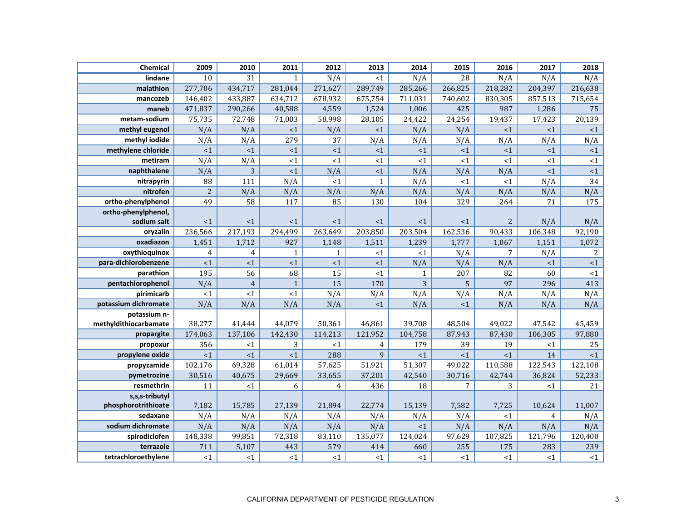| Chemical              | 2009           | 2010           | 2011         | 2012         | 2013           | 2014         | 2015            | 2016           | 2017           | 2018       |
|-----------------------|----------------|----------------|--------------|--------------|----------------|--------------|-----------------|----------------|----------------|------------|
| lindane               | 10             | 31             | $\mathbf{1}$ | N/A          | $\overline{1}$ | N/A          | $\overline{28}$ | N/A            | N/A            | N/A        |
| malathion             | 277,706        | 434,717        | 281,044      | 271,627      | 289,749        | 285,266      | 266,825         | 218,282        | 204,397        | 216,638    |
| mancozeb              | 146,402        | 433,887        | 634,712      | 678,932      | 675,754        | 711,031      | 740,602         | 830,305        | 857,513        | 715,654    |
| maneb                 | 471,837        | 290,266        | 40,588       | 4,559        | 1,524          | 1,006        | 425             | 987            | 1,286          | 75         |
| metam-sodium          | 75,735         | 72,748         | 71,003       | 58,998       | 28,105         | 24,422       | 24,254          | 19,437         | 17,423         | 20,139     |
| methyl eugenol        | N/A            | N/A            | <1           | N/A          | <1             | N/A          | N/A             | <1             | <1             | <1         |
| methyl iodide         | N/A            | N/A            | 279          | 37           | N/A            | N/A          | N/A             | N/A            | N/A            | N/A        |
| methylene chloride    | <1             | ${<}1$         | ${<}1$       | ${<}1$       | ${<}1$         | <1           | ${<}1$          | $<1\,$         | $<1\,$         | ${<}1$     |
| metiram               | N/A            | N/A            | $<1$         | <1           | <1             | ~1~          | <1              | <1             | <1             | <1         |
| naphthalene           | N/A            | 3              | <1           | N/A          | <1             | N/A          | N/A             | N/A            | <1             | $\leq 1$   |
| nitrapyrin            | 88             | 111            | N/A          | <1           | $\mathbf{1}$   | N/A          | <1              | <1             | N/A            | 34         |
| nitrofen              | $\overline{c}$ | N/A            | N/A          | N/A          | N/A            | N/A          | N/A             | N/A            | N/A            | N/A        |
| ortho-phenylphenol    | 49             | 58             | 117          | 85           | 130            | 104          | 329             | 264            | 71             | 175        |
| ortho-phenylphenol,   |                |                |              |              |                |              |                 |                |                |            |
| sodium salt           | $\leq 1$       | <1             | <1           | <1           | <1             | $\leq 1$     | <1              | $\overline{2}$ | N/A            | N/A        |
| oryzalin              | 236,566        | 217,193        | 294,499      | 263,649      | 203,850        | 203,504      | 162,536         | 90,433         | 106,348        | 92,190     |
| oxadiazon             | 1,451          | 1,712          | 927          | 1,148        | 1,511          | 1,239        | 1,777           | 1,067          | 1,151          | 1,072      |
| oxythioquinox         | $\overline{4}$ | $\overline{4}$ | $\mathbf{1}$ | $\mathbf{1}$ | <1             | <1           | N/A             | 7              | N/A            | $\sqrt{2}$ |
| para-dichlorobenzene  | <1             | <1             | <1           | <1           | <1             | N/A          | N/A             | N/A            | $\leq 1$       | ${<}1$     |
| parathion             | 195            | 56             | 68           | 15           | <1             | $\mathbf{1}$ | 207             | 82             | 60             | ${<}1$     |
| pentachlorophenol     | N/A            | $\overline{4}$ | $\mathbf{1}$ | 15           | 170            | 3            | 5               | 97             | 296            | 413        |
| pirimicarb            | ${<}1$         | <1             | $\leq 1$     | N/A          | N/A            | N/A          | N/A             | N/A            | N/A            | N/A        |
| potassium dichromate  | N/A            | N/A            | N/A          | N/A          | <1             | N/A          | <1              | N/A            | N/A            | N/A        |
| potassium n-          |                |                |              |              |                |              |                 |                |                |            |
| methyldithiocarbamate | 38,277         | 41,444         | 44,079       | 50,361       | 46,861         | 39,708       | 48,504          | 49,022         | 47,542         | 45,459     |
| propargite            | 174,063        | 137,106        | 142,430      | 114,213      | 121,952        | 104,758      | 87,943          | 87,430         | 106,305        | 97,880     |
| propoxur              | 356            | <1             | 3            | <1           | $\overline{4}$ | 179          | 39              | 19             | <1             | 25         |
| propylene oxide       | ${<}1$         | $<1\,$         | <1           | 288          | $\mathbf{q}$   | <1           | <1              | <1             | 14             | <1         |
| propyzamide           | 102,176        | 69,328         | 61,014       | 57,625       | 51,921         | 51,307       | 49,022          | 110,588        | 122,543        | 122,108    |
| pymetrozine           | 30,516         | 40,675         | 29,669       | 33,655       | 37,201         | 42,540       | 30,716          | 42,744         | 36,824         | 52,233     |
| resmethrin            | 11             | <1             | 6            | 4            | 436            | 18           | 7               | 3              | $<$ 1          | 21         |
| s,s,s-tributyl        |                |                |              |              |                |              |                 |                |                |            |
| phosphorotrithioate   | 7,182          | 15,785         | 27,139       | 21,894       | 22,774         | 15,139       | 7,582           | 7,725          | 10,624         | 11,007     |
| sedaxane              | N/A            | N/A            | N/A          | N/A          | N/A            | N/A          | N/A             | <1             | $\overline{4}$ | N/A        |
| sodium dichromate     | N/A            | N/A            | N/A          | N/A          | N/A            | <1           | N/A             | N/A            | N/A            | N/A        |
| spirodiclofen         | 148,338        | 99,851         | 72,318       | 83,110       | 135,077        | 124,024      | 97,629          | 107,825        | 121,796        | 120,400    |
| terrazole             | 711            | 5,107          | 443          | 579          | 414            | 660          | 255             | 175            | 283            | 239        |
| tetrachloroethylene   | ${<}1$         | <1             | ${<}1$       | ${<}1$       | ${<}1$         | <1           | <1              | <1             | <1             | $<\!1$     |